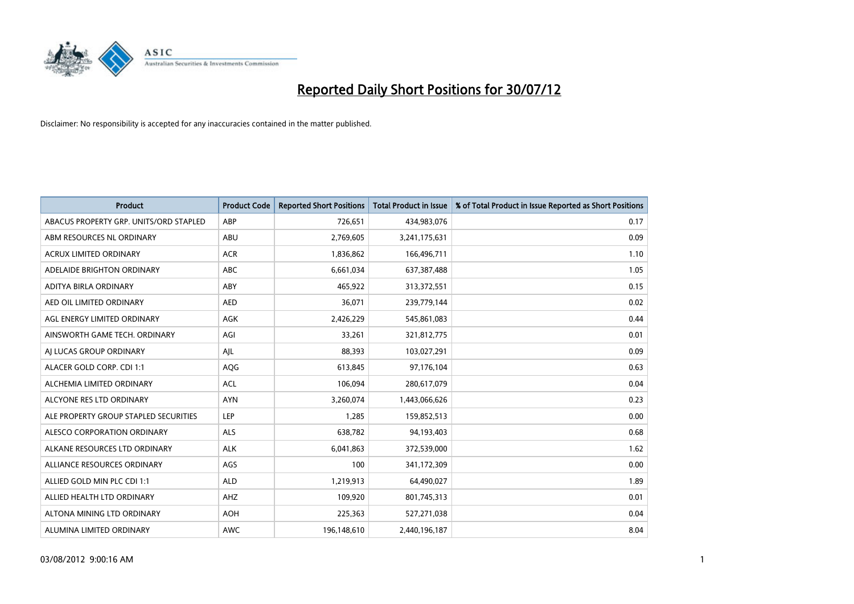

| <b>Product</b>                         | <b>Product Code</b> | <b>Reported Short Positions</b> | <b>Total Product in Issue</b> | % of Total Product in Issue Reported as Short Positions |
|----------------------------------------|---------------------|---------------------------------|-------------------------------|---------------------------------------------------------|
| ABACUS PROPERTY GRP. UNITS/ORD STAPLED | ABP                 | 726,651                         | 434,983,076                   | 0.17                                                    |
| ABM RESOURCES NL ORDINARY              | ABU                 | 2,769,605                       | 3,241,175,631                 | 0.09                                                    |
| <b>ACRUX LIMITED ORDINARY</b>          | <b>ACR</b>          | 1,836,862                       | 166,496,711                   | 1.10                                                    |
| ADELAIDE BRIGHTON ORDINARY             | <b>ABC</b>          | 6,661,034                       | 637, 387, 488                 | 1.05                                                    |
| ADITYA BIRLA ORDINARY                  | ABY                 | 465,922                         | 313,372,551                   | 0.15                                                    |
| AED OIL LIMITED ORDINARY               | <b>AED</b>          | 36,071                          | 239,779,144                   | 0.02                                                    |
| AGL ENERGY LIMITED ORDINARY            | <b>AGK</b>          | 2,426,229                       | 545,861,083                   | 0.44                                                    |
| AINSWORTH GAME TECH. ORDINARY          | AGI                 | 33,261                          | 321,812,775                   | 0.01                                                    |
| AI LUCAS GROUP ORDINARY                | AJL                 | 88,393                          | 103,027,291                   | 0.09                                                    |
| ALACER GOLD CORP. CDI 1:1              | AQG                 | 613,845                         | 97,176,104                    | 0.63                                                    |
| ALCHEMIA LIMITED ORDINARY              | <b>ACL</b>          | 106,094                         | 280,617,079                   | 0.04                                                    |
| ALCYONE RES LTD ORDINARY               | <b>AYN</b>          | 3,260,074                       | 1,443,066,626                 | 0.23                                                    |
| ALE PROPERTY GROUP STAPLED SECURITIES  | LEP                 | 1,285                           | 159,852,513                   | 0.00                                                    |
| ALESCO CORPORATION ORDINARY            | ALS                 | 638,782                         | 94,193,403                    | 0.68                                                    |
| ALKANE RESOURCES LTD ORDINARY          | <b>ALK</b>          | 6,041,863                       | 372,539,000                   | 1.62                                                    |
| ALLIANCE RESOURCES ORDINARY            | AGS                 | 100                             | 341,172,309                   | 0.00                                                    |
| ALLIED GOLD MIN PLC CDI 1:1            | <b>ALD</b>          | 1,219,913                       | 64,490,027                    | 1.89                                                    |
| ALLIED HEALTH LTD ORDINARY             | AHZ                 | 109,920                         | 801,745,313                   | 0.01                                                    |
| ALTONA MINING LTD ORDINARY             | <b>AOH</b>          | 225,363                         | 527,271,038                   | 0.04                                                    |
| ALUMINA LIMITED ORDINARY               | <b>AWC</b>          | 196,148,610                     | 2,440,196,187                 | 8.04                                                    |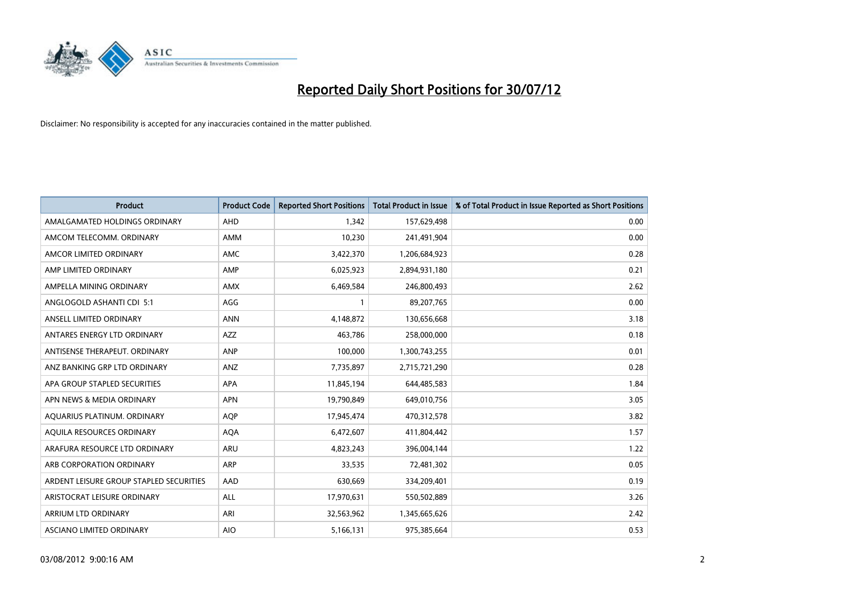

| <b>Product</b>                          | <b>Product Code</b> | <b>Reported Short Positions</b> | <b>Total Product in Issue</b> | % of Total Product in Issue Reported as Short Positions |
|-----------------------------------------|---------------------|---------------------------------|-------------------------------|---------------------------------------------------------|
| AMALGAMATED HOLDINGS ORDINARY           | AHD                 | 1,342                           | 157,629,498                   | 0.00                                                    |
| AMCOM TELECOMM. ORDINARY                | <b>AMM</b>          | 10,230                          | 241,491,904                   | 0.00                                                    |
| AMCOR LIMITED ORDINARY                  | AMC                 | 3,422,370                       | 1,206,684,923                 | 0.28                                                    |
| AMP LIMITED ORDINARY                    | AMP                 | 6,025,923                       | 2,894,931,180                 | 0.21                                                    |
| AMPELLA MINING ORDINARY                 | <b>AMX</b>          | 6,469,584                       | 246,800,493                   | 2.62                                                    |
| ANGLOGOLD ASHANTI CDI 5:1               | AGG                 |                                 | 89,207,765                    | 0.00                                                    |
| ANSELL LIMITED ORDINARY                 | <b>ANN</b>          | 4,148,872                       | 130,656,668                   | 3.18                                                    |
| ANTARES ENERGY LTD ORDINARY             | <b>AZZ</b>          | 463,786                         | 258,000,000                   | 0.18                                                    |
| ANTISENSE THERAPEUT, ORDINARY           | <b>ANP</b>          | 100,000                         | 1,300,743,255                 | 0.01                                                    |
| ANZ BANKING GRP LTD ORDINARY            | <b>ANZ</b>          | 7,735,897                       | 2,715,721,290                 | 0.28                                                    |
| APA GROUP STAPLED SECURITIES            | <b>APA</b>          | 11,845,194                      | 644,485,583                   | 1.84                                                    |
| APN NEWS & MEDIA ORDINARY               | <b>APN</b>          | 19,790,849                      | 649,010,756                   | 3.05                                                    |
| AQUARIUS PLATINUM. ORDINARY             | <b>AOP</b>          | 17,945,474                      | 470,312,578                   | 3.82                                                    |
| AQUILA RESOURCES ORDINARY               | <b>AQA</b>          | 6,472,607                       | 411,804,442                   | 1.57                                                    |
| ARAFURA RESOURCE LTD ORDINARY           | <b>ARU</b>          | 4,823,243                       | 396,004,144                   | 1.22                                                    |
| ARB CORPORATION ORDINARY                | ARP                 | 33,535                          | 72,481,302                    | 0.05                                                    |
| ARDENT LEISURE GROUP STAPLED SECURITIES | AAD                 | 630,669                         | 334,209,401                   | 0.19                                                    |
| ARISTOCRAT LEISURE ORDINARY             | <b>ALL</b>          | 17,970,631                      | 550,502,889                   | 3.26                                                    |
| <b>ARRIUM LTD ORDINARY</b>              | ARI                 | 32,563,962                      | 1,345,665,626                 | 2.42                                                    |
| ASCIANO LIMITED ORDINARY                | <b>AIO</b>          | 5,166,131                       | 975,385,664                   | 0.53                                                    |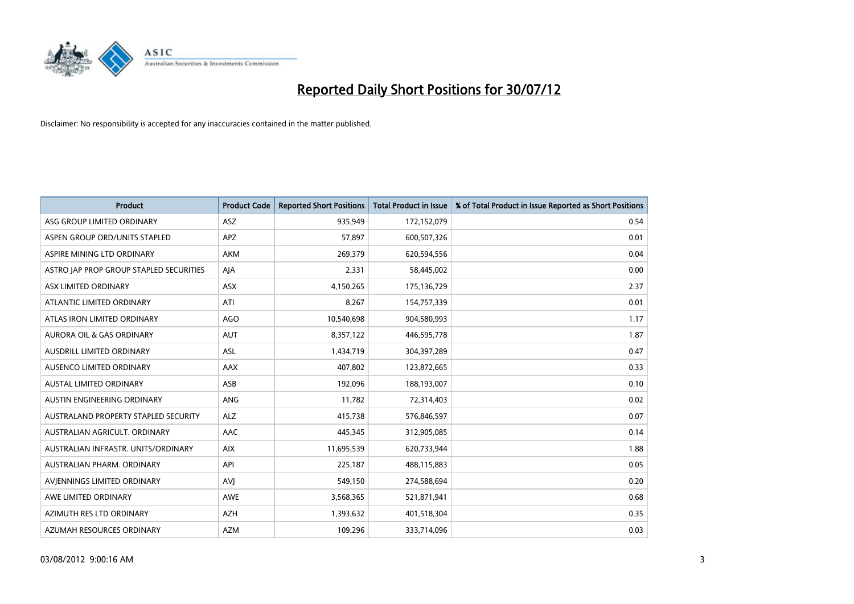

| <b>Product</b>                          | <b>Product Code</b> | <b>Reported Short Positions</b> | <b>Total Product in Issue</b> | % of Total Product in Issue Reported as Short Positions |
|-----------------------------------------|---------------------|---------------------------------|-------------------------------|---------------------------------------------------------|
| ASG GROUP LIMITED ORDINARY              | <b>ASZ</b>          | 935,949                         | 172,152,079                   | 0.54                                                    |
| ASPEN GROUP ORD/UNITS STAPLED           | <b>APZ</b>          | 57,897                          | 600,507,326                   | 0.01                                                    |
| ASPIRE MINING LTD ORDINARY              | <b>AKM</b>          | 269,379                         | 620,594,556                   | 0.04                                                    |
| ASTRO JAP PROP GROUP STAPLED SECURITIES | AJA                 | 2,331                           | 58,445,002                    | 0.00                                                    |
| ASX LIMITED ORDINARY                    | <b>ASX</b>          | 4,150,265                       | 175,136,729                   | 2.37                                                    |
| ATLANTIC LIMITED ORDINARY               | ATI                 | 8,267                           | 154,757,339                   | 0.01                                                    |
| ATLAS IRON LIMITED ORDINARY             | <b>AGO</b>          | 10,540,698                      | 904,580,993                   | 1.17                                                    |
| AURORA OIL & GAS ORDINARY               | <b>AUT</b>          | 8,357,122                       | 446,595,778                   | 1.87                                                    |
| AUSDRILL LIMITED ORDINARY               | <b>ASL</b>          | 1,434,719                       | 304,397,289                   | 0.47                                                    |
| <b>AUSENCO LIMITED ORDINARY</b>         | <b>AAX</b>          | 407,802                         | 123,872,665                   | 0.33                                                    |
| AUSTAL LIMITED ORDINARY                 | ASB                 | 192,096                         | 188,193,007                   | 0.10                                                    |
| AUSTIN ENGINEERING ORDINARY             | ANG                 | 11,782                          | 72,314,403                    | 0.02                                                    |
| AUSTRALAND PROPERTY STAPLED SECURITY    | <b>ALZ</b>          | 415,738                         | 576,846,597                   | 0.07                                                    |
| AUSTRALIAN AGRICULT, ORDINARY           | AAC                 | 445,345                         | 312,905,085                   | 0.14                                                    |
| AUSTRALIAN INFRASTR, UNITS/ORDINARY     | <b>AIX</b>          | 11,695,539                      | 620,733,944                   | 1.88                                                    |
| AUSTRALIAN PHARM. ORDINARY              | API                 | 225,187                         | 488,115,883                   | 0.05                                                    |
| AVIENNINGS LIMITED ORDINARY             | <b>AVI</b>          | 549,150                         | 274,588,694                   | 0.20                                                    |
| AWE LIMITED ORDINARY                    | <b>AWE</b>          | 3,568,365                       | 521,871,941                   | 0.68                                                    |
| AZIMUTH RES LTD ORDINARY                | <b>AZH</b>          | 1,393,632                       | 401,518,304                   | 0.35                                                    |
| AZUMAH RESOURCES ORDINARY               | <b>AZM</b>          | 109,296                         | 333,714,096                   | 0.03                                                    |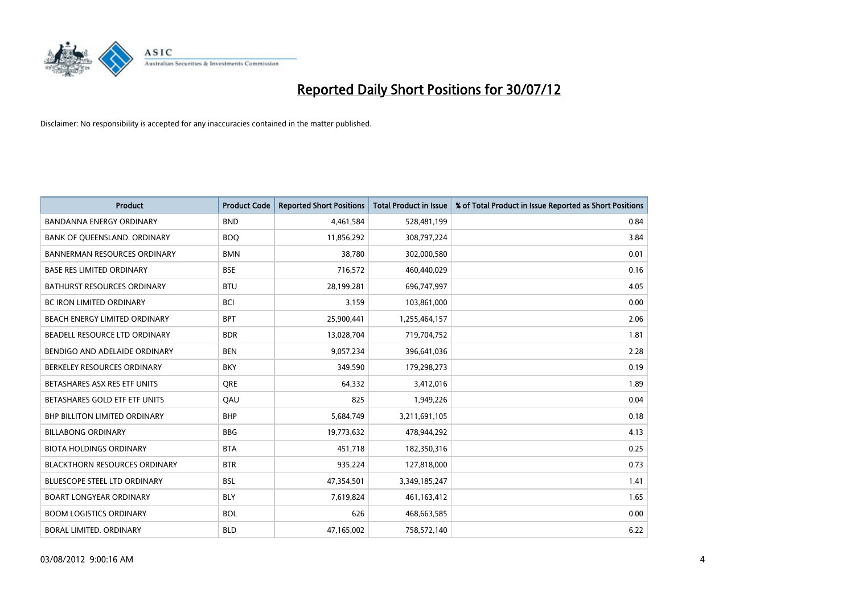

| <b>Product</b>                       | <b>Product Code</b> | <b>Reported Short Positions</b> | <b>Total Product in Issue</b> | % of Total Product in Issue Reported as Short Positions |
|--------------------------------------|---------------------|---------------------------------|-------------------------------|---------------------------------------------------------|
| <b>BANDANNA ENERGY ORDINARY</b>      | <b>BND</b>          | 4,461,584                       | 528,481,199                   | 0.84                                                    |
| BANK OF QUEENSLAND. ORDINARY         | <b>BOO</b>          | 11,856,292                      | 308,797,224                   | 3.84                                                    |
| <b>BANNERMAN RESOURCES ORDINARY</b>  | <b>BMN</b>          | 38,780                          | 302,000,580                   | 0.01                                                    |
| <b>BASE RES LIMITED ORDINARY</b>     | <b>BSE</b>          | 716,572                         | 460,440,029                   | 0.16                                                    |
| <b>BATHURST RESOURCES ORDINARY</b>   | <b>BTU</b>          | 28,199,281                      | 696,747,997                   | 4.05                                                    |
| <b>BC IRON LIMITED ORDINARY</b>      | <b>BCI</b>          | 3,159                           | 103,861,000                   | 0.00                                                    |
| BEACH ENERGY LIMITED ORDINARY        | <b>BPT</b>          | 25,900,441                      | 1,255,464,157                 | 2.06                                                    |
| BEADELL RESOURCE LTD ORDINARY        | <b>BDR</b>          | 13,028,704                      | 719,704,752                   | 1.81                                                    |
| BENDIGO AND ADELAIDE ORDINARY        | <b>BEN</b>          | 9,057,234                       | 396,641,036                   | 2.28                                                    |
| BERKELEY RESOURCES ORDINARY          | <b>BKY</b>          | 349,590                         | 179,298,273                   | 0.19                                                    |
| BETASHARES ASX RES ETF UNITS         | <b>ORE</b>          | 64,332                          | 3,412,016                     | 1.89                                                    |
| BETASHARES GOLD ETF ETF UNITS        | QAU                 | 825                             | 1,949,226                     | 0.04                                                    |
| <b>BHP BILLITON LIMITED ORDINARY</b> | <b>BHP</b>          | 5,684,749                       | 3,211,691,105                 | 0.18                                                    |
| <b>BILLABONG ORDINARY</b>            | <b>BBG</b>          | 19,773,632                      | 478,944,292                   | 4.13                                                    |
| <b>BIOTA HOLDINGS ORDINARY</b>       | <b>BTA</b>          | 451,718                         | 182,350,316                   | 0.25                                                    |
| <b>BLACKTHORN RESOURCES ORDINARY</b> | <b>BTR</b>          | 935,224                         | 127,818,000                   | 0.73                                                    |
| <b>BLUESCOPE STEEL LTD ORDINARY</b>  | <b>BSL</b>          | 47,354,501                      | 3,349,185,247                 | 1.41                                                    |
| <b>BOART LONGYEAR ORDINARY</b>       | <b>BLY</b>          | 7,619,824                       | 461,163,412                   | 1.65                                                    |
| <b>BOOM LOGISTICS ORDINARY</b>       | <b>BOL</b>          | 626                             | 468,663,585                   | 0.00                                                    |
| BORAL LIMITED, ORDINARY              | <b>BLD</b>          | 47,165,002                      | 758,572,140                   | 6.22                                                    |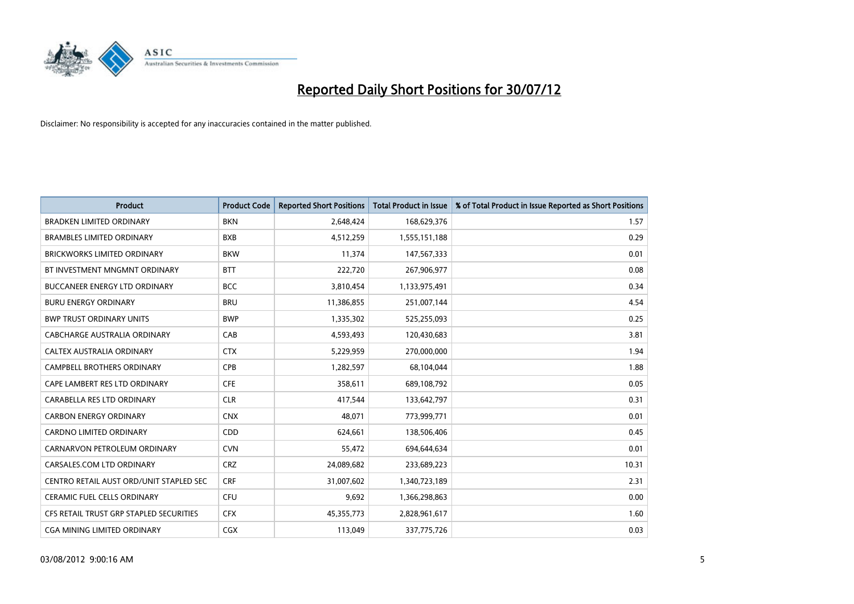

| <b>Product</b>                          | <b>Product Code</b> | <b>Reported Short Positions</b> | <b>Total Product in Issue</b> | % of Total Product in Issue Reported as Short Positions |
|-----------------------------------------|---------------------|---------------------------------|-------------------------------|---------------------------------------------------------|
| <b>BRADKEN LIMITED ORDINARY</b>         | <b>BKN</b>          | 2,648,424                       | 168,629,376                   | 1.57                                                    |
| <b>BRAMBLES LIMITED ORDINARY</b>        | <b>BXB</b>          | 4,512,259                       | 1,555,151,188                 | 0.29                                                    |
| <b>BRICKWORKS LIMITED ORDINARY</b>      | <b>BKW</b>          | 11,374                          | 147,567,333                   | 0.01                                                    |
| BT INVESTMENT MNGMNT ORDINARY           | <b>BTT</b>          | 222,720                         | 267,906,977                   | 0.08                                                    |
| <b>BUCCANEER ENERGY LTD ORDINARY</b>    | <b>BCC</b>          | 3,810,454                       | 1,133,975,491                 | 0.34                                                    |
| <b>BURU ENERGY ORDINARY</b>             | <b>BRU</b>          | 11,386,855                      | 251,007,144                   | 4.54                                                    |
| <b>BWP TRUST ORDINARY UNITS</b>         | <b>BWP</b>          | 1,335,302                       | 525,255,093                   | 0.25                                                    |
| CABCHARGE AUSTRALIA ORDINARY            | CAB                 | 4,593,493                       | 120,430,683                   | 3.81                                                    |
| CALTEX AUSTRALIA ORDINARY               | <b>CTX</b>          | 5,229,959                       | 270,000,000                   | 1.94                                                    |
| <b>CAMPBELL BROTHERS ORDINARY</b>       | <b>CPB</b>          | 1,282,597                       | 68,104,044                    | 1.88                                                    |
| CAPE LAMBERT RES LTD ORDINARY           | <b>CFE</b>          | 358,611                         | 689,108,792                   | 0.05                                                    |
| CARABELLA RES LTD ORDINARY              | <b>CLR</b>          | 417,544                         | 133,642,797                   | 0.31                                                    |
| <b>CARBON ENERGY ORDINARY</b>           | <b>CNX</b>          | 48,071                          | 773,999,771                   | 0.01                                                    |
| <b>CARDNO LIMITED ORDINARY</b>          | CDD                 | 624,661                         | 138,506,406                   | 0.45                                                    |
| CARNARVON PETROLEUM ORDINARY            | <b>CVN</b>          | 55,472                          | 694,644,634                   | 0.01                                                    |
| CARSALES.COM LTD ORDINARY               | <b>CRZ</b>          | 24,089,682                      | 233,689,223                   | 10.31                                                   |
| CENTRO RETAIL AUST ORD/UNIT STAPLED SEC | <b>CRF</b>          | 31,007,602                      | 1,340,723,189                 | 2.31                                                    |
| <b>CERAMIC FUEL CELLS ORDINARY</b>      | <b>CFU</b>          | 9,692                           | 1,366,298,863                 | 0.00                                                    |
| CFS RETAIL TRUST GRP STAPLED SECURITIES | <b>CFX</b>          | 45,355,773                      | 2,828,961,617                 | 1.60                                                    |
| CGA MINING LIMITED ORDINARY             | <b>CGX</b>          | 113,049                         | 337,775,726                   | 0.03                                                    |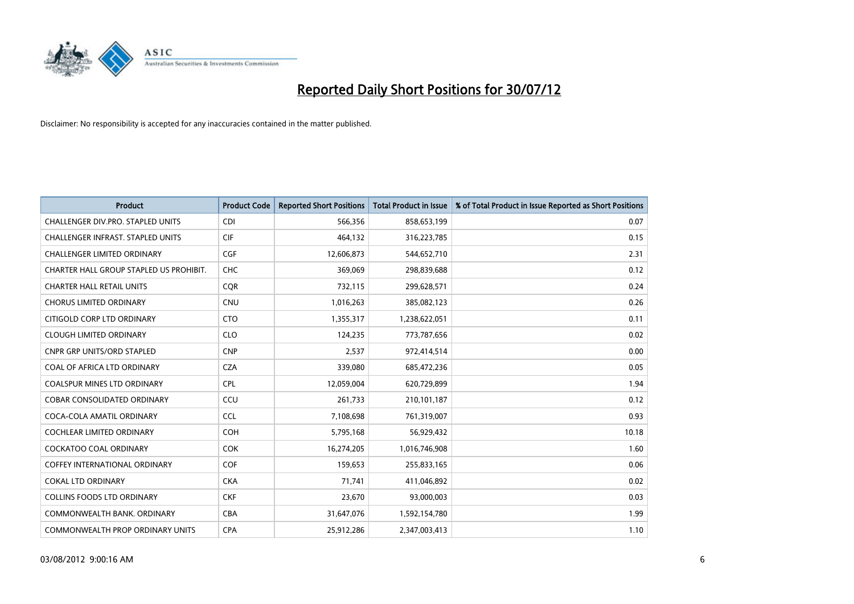

| <b>Product</b>                          | <b>Product Code</b> | <b>Reported Short Positions</b> | <b>Total Product in Issue</b> | % of Total Product in Issue Reported as Short Positions |
|-----------------------------------------|---------------------|---------------------------------|-------------------------------|---------------------------------------------------------|
| CHALLENGER DIV.PRO. STAPLED UNITS       | <b>CDI</b>          | 566,356                         | 858,653,199                   | 0.07                                                    |
| CHALLENGER INFRAST. STAPLED UNITS       | <b>CIF</b>          | 464,132                         | 316,223,785                   | 0.15                                                    |
| <b>CHALLENGER LIMITED ORDINARY</b>      | <b>CGF</b>          | 12,606,873                      | 544,652,710                   | 2.31                                                    |
| CHARTER HALL GROUP STAPLED US PROHIBIT. | <b>CHC</b>          | 369,069                         | 298,839,688                   | 0.12                                                    |
| <b>CHARTER HALL RETAIL UNITS</b>        | <b>COR</b>          | 732,115                         | 299,628,571                   | 0.24                                                    |
| <b>CHORUS LIMITED ORDINARY</b>          | <b>CNU</b>          | 1,016,263                       | 385,082,123                   | 0.26                                                    |
| CITIGOLD CORP LTD ORDINARY              | <b>CTO</b>          | 1,355,317                       | 1,238,622,051                 | 0.11                                                    |
| <b>CLOUGH LIMITED ORDINARY</b>          | <b>CLO</b>          | 124,235                         | 773,787,656                   | 0.02                                                    |
| <b>CNPR GRP UNITS/ORD STAPLED</b>       | <b>CNP</b>          | 2,537                           | 972,414,514                   | 0.00                                                    |
| COAL OF AFRICA LTD ORDINARY             | <b>CZA</b>          | 339,080                         | 685,472,236                   | 0.05                                                    |
| COALSPUR MINES LTD ORDINARY             | <b>CPL</b>          | 12,059,004                      | 620,729,899                   | 1.94                                                    |
| <b>COBAR CONSOLIDATED ORDINARY</b>      | CCU                 | 261,733                         | 210,101,187                   | 0.12                                                    |
| COCA-COLA AMATIL ORDINARY               | <b>CCL</b>          | 7,108,698                       | 761,319,007                   | 0.93                                                    |
| <b>COCHLEAR LIMITED ORDINARY</b>        | <b>COH</b>          | 5,795,168                       | 56,929,432                    | 10.18                                                   |
| <b>COCKATOO COAL ORDINARY</b>           | <b>COK</b>          | 16,274,205                      | 1,016,746,908                 | 1.60                                                    |
| COFFEY INTERNATIONAL ORDINARY           | <b>COF</b>          | 159,653                         | 255,833,165                   | 0.06                                                    |
| <b>COKAL LTD ORDINARY</b>               | <b>CKA</b>          | 71,741                          | 411,046,892                   | 0.02                                                    |
| <b>COLLINS FOODS LTD ORDINARY</b>       | <b>CKF</b>          | 23,670                          | 93,000,003                    | 0.03                                                    |
| COMMONWEALTH BANK, ORDINARY             | <b>CBA</b>          | 31,647,076                      | 1,592,154,780                 | 1.99                                                    |
| <b>COMMONWEALTH PROP ORDINARY UNITS</b> | <b>CPA</b>          | 25,912,286                      | 2,347,003,413                 | 1.10                                                    |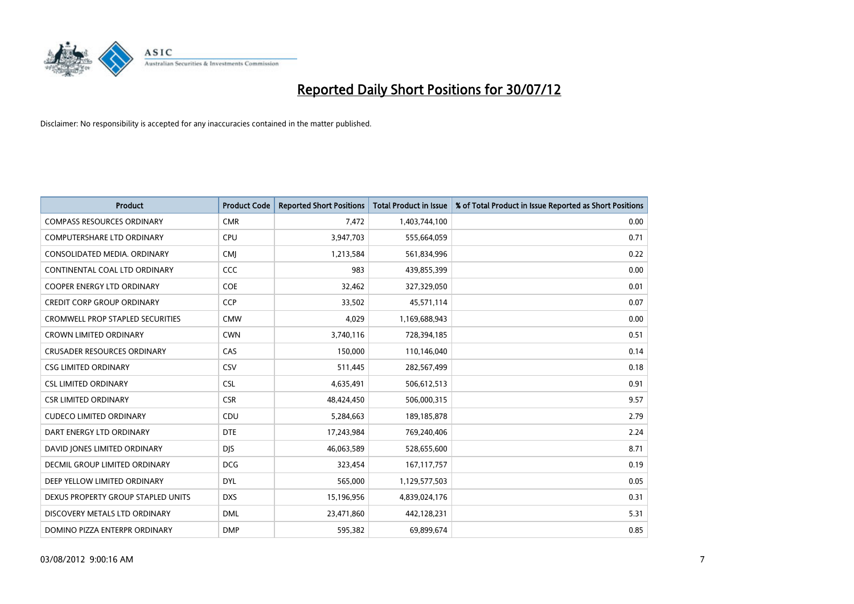

| <b>Product</b>                          | <b>Product Code</b> | <b>Reported Short Positions</b> | <b>Total Product in Issue</b> | % of Total Product in Issue Reported as Short Positions |
|-----------------------------------------|---------------------|---------------------------------|-------------------------------|---------------------------------------------------------|
| <b>COMPASS RESOURCES ORDINARY</b>       | <b>CMR</b>          | 7,472                           | 1,403,744,100                 | 0.00                                                    |
| COMPUTERSHARE LTD ORDINARY              | <b>CPU</b>          | 3,947,703                       | 555,664,059                   | 0.71                                                    |
| CONSOLIDATED MEDIA, ORDINARY            | <b>CMI</b>          | 1,213,584                       | 561,834,996                   | 0.22                                                    |
| CONTINENTAL COAL LTD ORDINARY           | CCC                 | 983                             | 439,855,399                   | 0.00                                                    |
| <b>COOPER ENERGY LTD ORDINARY</b>       | <b>COE</b>          | 32,462                          | 327,329,050                   | 0.01                                                    |
| <b>CREDIT CORP GROUP ORDINARY</b>       | <b>CCP</b>          | 33,502                          | 45,571,114                    | 0.07                                                    |
| <b>CROMWELL PROP STAPLED SECURITIES</b> | <b>CMW</b>          | 4,029                           | 1,169,688,943                 | 0.00                                                    |
| <b>CROWN LIMITED ORDINARY</b>           | <b>CWN</b>          | 3,740,116                       | 728,394,185                   | 0.51                                                    |
| <b>CRUSADER RESOURCES ORDINARY</b>      | CAS                 | 150,000                         | 110,146,040                   | 0.14                                                    |
| <b>CSG LIMITED ORDINARY</b>             | <b>CSV</b>          | 511,445                         | 282,567,499                   | 0.18                                                    |
| <b>CSL LIMITED ORDINARY</b>             | <b>CSL</b>          | 4,635,491                       | 506,612,513                   | 0.91                                                    |
| <b>CSR LIMITED ORDINARY</b>             | <b>CSR</b>          | 48,424,450                      | 506,000,315                   | 9.57                                                    |
| <b>CUDECO LIMITED ORDINARY</b>          | CDU                 | 5,284,663                       | 189, 185, 878                 | 2.79                                                    |
| DART ENERGY LTD ORDINARY                | <b>DTE</b>          | 17,243,984                      | 769,240,406                   | 2.24                                                    |
| DAVID JONES LIMITED ORDINARY            | <b>DIS</b>          | 46,063,589                      | 528,655,600                   | 8.71                                                    |
| DECMIL GROUP LIMITED ORDINARY           | <b>DCG</b>          | 323,454                         | 167, 117, 757                 | 0.19                                                    |
| DEEP YELLOW LIMITED ORDINARY            | <b>DYL</b>          | 565,000                         | 1,129,577,503                 | 0.05                                                    |
| DEXUS PROPERTY GROUP STAPLED UNITS      | <b>DXS</b>          | 15,196,956                      | 4,839,024,176                 | 0.31                                                    |
| DISCOVERY METALS LTD ORDINARY           | <b>DML</b>          | 23,471,860                      | 442,128,231                   | 5.31                                                    |
| DOMINO PIZZA ENTERPR ORDINARY           | <b>DMP</b>          | 595,382                         | 69,899,674                    | 0.85                                                    |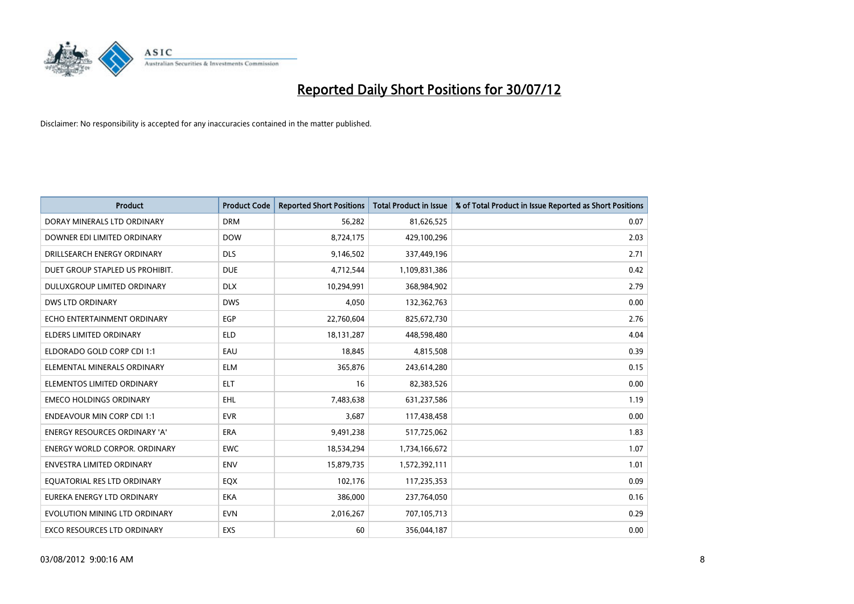

| <b>Product</b>                       | <b>Product Code</b> | <b>Reported Short Positions</b> | <b>Total Product in Issue</b> | % of Total Product in Issue Reported as Short Positions |
|--------------------------------------|---------------------|---------------------------------|-------------------------------|---------------------------------------------------------|
| DORAY MINERALS LTD ORDINARY          | <b>DRM</b>          | 56,282                          | 81,626,525                    | 0.07                                                    |
| DOWNER EDI LIMITED ORDINARY          | <b>DOW</b>          | 8,724,175                       | 429,100,296                   | 2.03                                                    |
| DRILLSEARCH ENERGY ORDINARY          | <b>DLS</b>          | 9,146,502                       | 337,449,196                   | 2.71                                                    |
| DUET GROUP STAPLED US PROHIBIT.      | <b>DUE</b>          | 4,712,544                       | 1,109,831,386                 | 0.42                                                    |
| DULUXGROUP LIMITED ORDINARY          | <b>DLX</b>          | 10,294,991                      | 368,984,902                   | 2.79                                                    |
| <b>DWS LTD ORDINARY</b>              | <b>DWS</b>          | 4,050                           | 132,362,763                   | 0.00                                                    |
| ECHO ENTERTAINMENT ORDINARY          | <b>EGP</b>          | 22,760,604                      | 825,672,730                   | 2.76                                                    |
| ELDERS LIMITED ORDINARY              | <b>ELD</b>          | 18,131,287                      | 448,598,480                   | 4.04                                                    |
| ELDORADO GOLD CORP CDI 1:1           | EAU                 | 18,845                          | 4,815,508                     | 0.39                                                    |
| ELEMENTAL MINERALS ORDINARY          | <b>ELM</b>          | 365,876                         | 243,614,280                   | 0.15                                                    |
| ELEMENTOS LIMITED ORDINARY           | <b>ELT</b>          | 16                              | 82,383,526                    | 0.00                                                    |
| <b>EMECO HOLDINGS ORDINARY</b>       | <b>EHL</b>          | 7,483,638                       | 631,237,586                   | 1.19                                                    |
| <b>ENDEAVOUR MIN CORP CDI 1:1</b>    | <b>EVR</b>          | 3,687                           | 117,438,458                   | 0.00                                                    |
| <b>ENERGY RESOURCES ORDINARY 'A'</b> | <b>ERA</b>          | 9,491,238                       | 517,725,062                   | 1.83                                                    |
| <b>ENERGY WORLD CORPOR, ORDINARY</b> | <b>EWC</b>          | 18,534,294                      | 1,734,166,672                 | 1.07                                                    |
| ENVESTRA LIMITED ORDINARY            | <b>ENV</b>          | 15,879,735                      | 1,572,392,111                 | 1.01                                                    |
| EQUATORIAL RES LTD ORDINARY          | <b>EQX</b>          | 102,176                         | 117,235,353                   | 0.09                                                    |
| EUREKA ENERGY LTD ORDINARY           | <b>EKA</b>          | 386,000                         | 237,764,050                   | 0.16                                                    |
| EVOLUTION MINING LTD ORDINARY        | <b>EVN</b>          | 2,016,267                       | 707,105,713                   | 0.29                                                    |
| EXCO RESOURCES LTD ORDINARY          | <b>EXS</b>          | 60                              | 356,044,187                   | 0.00                                                    |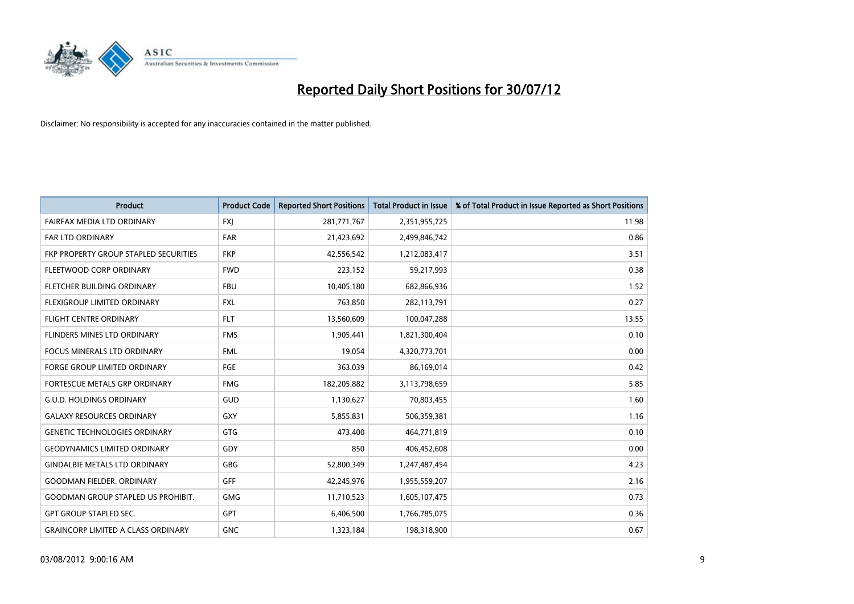

| <b>Product</b>                               | <b>Product Code</b> | <b>Reported Short Positions</b> | <b>Total Product in Issue</b> | % of Total Product in Issue Reported as Short Positions |
|----------------------------------------------|---------------------|---------------------------------|-------------------------------|---------------------------------------------------------|
| FAIRFAX MEDIA LTD ORDINARY                   | <b>FXI</b>          | 281,771,767                     | 2,351,955,725                 | 11.98                                                   |
| FAR LTD ORDINARY                             | <b>FAR</b>          | 21,423,692                      | 2,499,846,742                 | 0.86                                                    |
| <b>FKP PROPERTY GROUP STAPLED SECURITIES</b> | <b>FKP</b>          | 42,556,542                      | 1,212,083,417                 | 3.51                                                    |
| FLEETWOOD CORP ORDINARY                      | <b>FWD</b>          | 223,152                         | 59,217,993                    | 0.38                                                    |
| FLETCHER BUILDING ORDINARY                   | <b>FBU</b>          | 10,405,180                      | 682,866,936                   | 1.52                                                    |
| FLEXIGROUP LIMITED ORDINARY                  | <b>FXL</b>          | 763,850                         | 282,113,791                   | 0.27                                                    |
| <b>FLIGHT CENTRE ORDINARY</b>                | <b>FLT</b>          | 13,560,609                      | 100,047,288                   | 13.55                                                   |
| FLINDERS MINES LTD ORDINARY                  | <b>FMS</b>          | 1,905,441                       | 1,821,300,404                 | 0.10                                                    |
| FOCUS MINERALS LTD ORDINARY                  | <b>FML</b>          | 19,054                          | 4,320,773,701                 | 0.00                                                    |
| <b>FORGE GROUP LIMITED ORDINARY</b>          | FGE                 | 363,039                         | 86,169,014                    | 0.42                                                    |
| <b>FORTESCUE METALS GRP ORDINARY</b>         | <b>FMG</b>          | 182,205,882                     | 3,113,798,659                 | 5.85                                                    |
| <b>G.U.D. HOLDINGS ORDINARY</b>              | GUD                 | 1,130,627                       | 70,803,455                    | 1.60                                                    |
| <b>GALAXY RESOURCES ORDINARY</b>             | GXY                 | 5,855,831                       | 506,359,381                   | 1.16                                                    |
| <b>GENETIC TECHNOLOGIES ORDINARY</b>         | GTG                 | 473,400                         | 464,771,819                   | 0.10                                                    |
| <b>GEODYNAMICS LIMITED ORDINARY</b>          | GDY                 | 850                             | 406,452,608                   | 0.00                                                    |
| <b>GINDALBIE METALS LTD ORDINARY</b>         | GBG                 | 52,800,349                      | 1,247,487,454                 | 4.23                                                    |
| <b>GOODMAN FIELDER, ORDINARY</b>             | <b>GFF</b>          | 42,245,976                      | 1,955,559,207                 | 2.16                                                    |
| <b>GOODMAN GROUP STAPLED US PROHIBIT.</b>    | <b>GMG</b>          | 11,710,523                      | 1,605,107,475                 | 0.73                                                    |
| <b>GPT GROUP STAPLED SEC.</b>                | <b>GPT</b>          | 6,406,500                       | 1,766,785,075                 | 0.36                                                    |
| <b>GRAINCORP LIMITED A CLASS ORDINARY</b>    | <b>GNC</b>          | 1,323,184                       | 198,318,900                   | 0.67                                                    |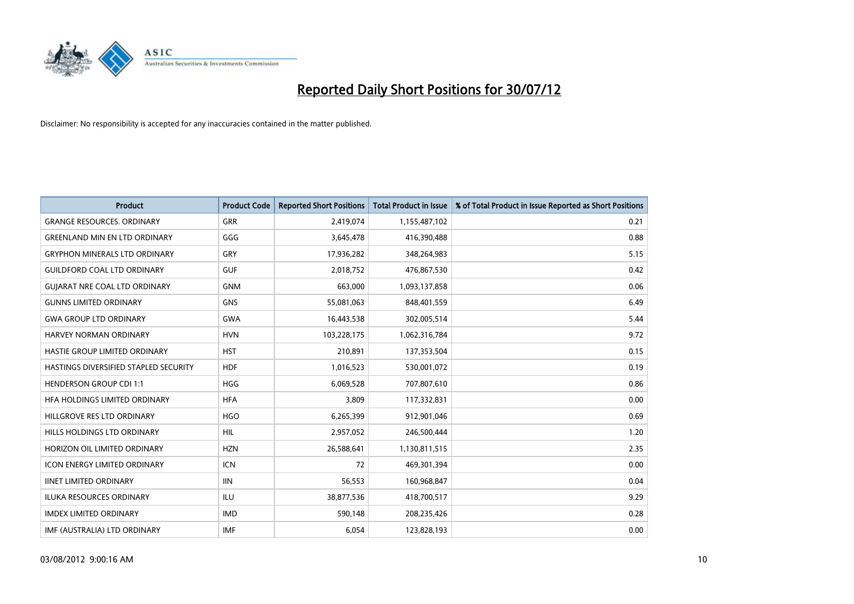

| <b>Product</b>                        | <b>Product Code</b> | <b>Reported Short Positions</b> | <b>Total Product in Issue</b> | % of Total Product in Issue Reported as Short Positions |
|---------------------------------------|---------------------|---------------------------------|-------------------------------|---------------------------------------------------------|
| <b>GRANGE RESOURCES, ORDINARY</b>     | <b>GRR</b>          | 2,419,074                       | 1,155,487,102                 | 0.21                                                    |
| <b>GREENLAND MIN EN LTD ORDINARY</b>  | GGG                 | 3,645,478                       | 416,390,488                   | 0.88                                                    |
| <b>GRYPHON MINERALS LTD ORDINARY</b>  | GRY                 | 17,936,282                      | 348,264,983                   | 5.15                                                    |
| <b>GUILDFORD COAL LTD ORDINARY</b>    | <b>GUF</b>          | 2,018,752                       | 476,867,530                   | 0.42                                                    |
| <b>GUIARAT NRE COAL LTD ORDINARY</b>  | <b>GNM</b>          | 663,000                         | 1,093,137,858                 | 0.06                                                    |
| <b>GUNNS LIMITED ORDINARY</b>         | <b>GNS</b>          | 55,081,063                      | 848,401,559                   | 6.49                                                    |
| <b>GWA GROUP LTD ORDINARY</b>         | <b>GWA</b>          | 16,443,538                      | 302,005,514                   | 5.44                                                    |
| HARVEY NORMAN ORDINARY                | <b>HVN</b>          | 103,228,175                     | 1,062,316,784                 | 9.72                                                    |
| HASTIE GROUP LIMITED ORDINARY         | <b>HST</b>          | 210,891                         | 137,353,504                   | 0.15                                                    |
| HASTINGS DIVERSIFIED STAPLED SECURITY | <b>HDF</b>          | 1,016,523                       | 530,001,072                   | 0.19                                                    |
| <b>HENDERSON GROUP CDI 1:1</b>        | <b>HGG</b>          | 6,069,528                       | 707,807,610                   | 0.86                                                    |
| HFA HOLDINGS LIMITED ORDINARY         | <b>HFA</b>          | 3,809                           | 117,332,831                   | 0.00                                                    |
| HILLGROVE RES LTD ORDINARY            | <b>HGO</b>          | 6,265,399                       | 912,901,046                   | 0.69                                                    |
| HILLS HOLDINGS LTD ORDINARY           | <b>HIL</b>          | 2,957,052                       | 246,500,444                   | 1.20                                                    |
| HORIZON OIL LIMITED ORDINARY          | <b>HZN</b>          | 26,588,641                      | 1,130,811,515                 | 2.35                                                    |
| <b>ICON ENERGY LIMITED ORDINARY</b>   | <b>ICN</b>          | 72                              | 469,301,394                   | 0.00                                                    |
| <b>IINET LIMITED ORDINARY</b>         | <b>IIN</b>          | 56,553                          | 160,968,847                   | 0.04                                                    |
| ILUKA RESOURCES ORDINARY              | ILU                 | 38,877,536                      | 418,700,517                   | 9.29                                                    |
| <b>IMDEX LIMITED ORDINARY</b>         | <b>IMD</b>          | 590,148                         | 208,235,426                   | 0.28                                                    |
| IMF (AUSTRALIA) LTD ORDINARY          | <b>IMF</b>          | 6,054                           | 123,828,193                   | 0.00                                                    |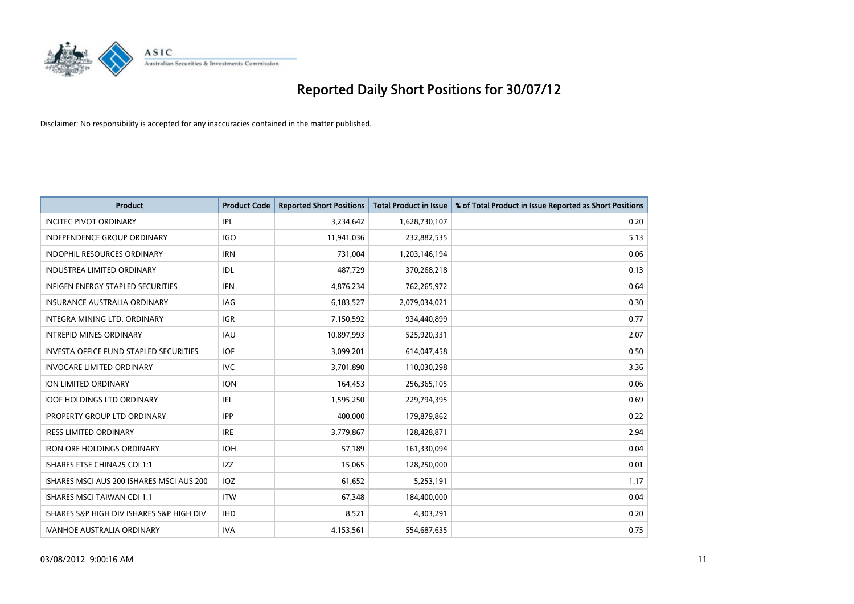

| <b>Product</b>                            | <b>Product Code</b> | <b>Reported Short Positions</b> | <b>Total Product in Issue</b> | % of Total Product in Issue Reported as Short Positions |
|-------------------------------------------|---------------------|---------------------------------|-------------------------------|---------------------------------------------------------|
| <b>INCITEC PIVOT ORDINARY</b>             | IPL                 | 3,234,642                       | 1,628,730,107                 | 0.20                                                    |
| <b>INDEPENDENCE GROUP ORDINARY</b>        | <b>IGO</b>          | 11,941,036                      | 232,882,535                   | 5.13                                                    |
| <b>INDOPHIL RESOURCES ORDINARY</b>        | <b>IRN</b>          | 731,004                         | 1,203,146,194                 | 0.06                                                    |
| INDUSTREA LIMITED ORDINARY                | IDL                 | 487,729                         | 370,268,218                   | 0.13                                                    |
| <b>INFIGEN ENERGY STAPLED SECURITIES</b>  | <b>IFN</b>          | 4,876,234                       | 762,265,972                   | 0.64                                                    |
| <b>INSURANCE AUSTRALIA ORDINARY</b>       | IAG                 | 6,183,527                       | 2,079,034,021                 | 0.30                                                    |
| <b>INTEGRA MINING LTD, ORDINARY</b>       | <b>IGR</b>          | 7,150,592                       | 934,440,899                   | 0.77                                                    |
| <b>INTREPID MINES ORDINARY</b>            | <b>IAU</b>          | 10,897,993                      | 525,920,331                   | 2.07                                                    |
| INVESTA OFFICE FUND STAPLED SECURITIES    | <b>IOF</b>          | 3,099,201                       | 614,047,458                   | 0.50                                                    |
| <b>INVOCARE LIMITED ORDINARY</b>          | IVC                 | 3,701,890                       | 110,030,298                   | 3.36                                                    |
| ION LIMITED ORDINARY                      | <b>ION</b>          | 164,453                         | 256,365,105                   | 0.06                                                    |
| <b>IOOF HOLDINGS LTD ORDINARY</b>         | IFL                 | 1,595,250                       | 229,794,395                   | 0.69                                                    |
| <b>IPROPERTY GROUP LTD ORDINARY</b>       | <b>IPP</b>          | 400,000                         | 179,879,862                   | 0.22                                                    |
| <b>IRESS LIMITED ORDINARY</b>             | <b>IRE</b>          | 3,779,867                       | 128,428,871                   | 2.94                                                    |
| <b>IRON ORE HOLDINGS ORDINARY</b>         | <b>IOH</b>          | 57,189                          | 161,330,094                   | 0.04                                                    |
| ISHARES FTSE CHINA25 CDI 1:1              | <b>IZZ</b>          | 15,065                          | 128,250,000                   | 0.01                                                    |
| ISHARES MSCI AUS 200 ISHARES MSCI AUS 200 | <b>IOZ</b>          | 61,652                          | 5,253,191                     | 1.17                                                    |
| <b>ISHARES MSCI TAIWAN CDI 1:1</b>        | <b>ITW</b>          | 67,348                          | 184,400,000                   | 0.04                                                    |
| ISHARES S&P HIGH DIV ISHARES S&P HIGH DIV | <b>IHD</b>          | 8,521                           | 4,303,291                     | 0.20                                                    |
| <b>IVANHOE AUSTRALIA ORDINARY</b>         | <b>IVA</b>          | 4,153,561                       | 554,687,635                   | 0.75                                                    |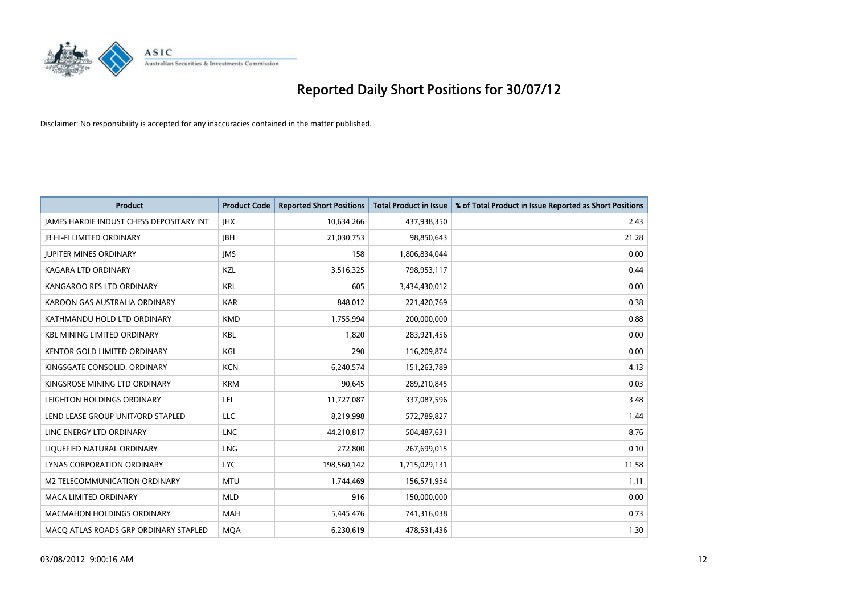

| <b>Product</b>                                  | <b>Product Code</b> | <b>Reported Short Positions</b> | <b>Total Product in Issue</b> | % of Total Product in Issue Reported as Short Positions |
|-------------------------------------------------|---------------------|---------------------------------|-------------------------------|---------------------------------------------------------|
| <b>JAMES HARDIE INDUST CHESS DEPOSITARY INT</b> | <b>IHX</b>          | 10,634,266                      | 437,938,350                   | 2.43                                                    |
| <b>IB HI-FI LIMITED ORDINARY</b>                | <b>IBH</b>          | 21,030,753                      | 98,850,643                    | 21.28                                                   |
| <b>JUPITER MINES ORDINARY</b>                   | <b>IMS</b>          | 158                             | 1,806,834,044                 | 0.00                                                    |
| <b>KAGARA LTD ORDINARY</b>                      | <b>KZL</b>          | 3,516,325                       | 798,953,117                   | 0.44                                                    |
| KANGAROO RES LTD ORDINARY                       | <b>KRL</b>          | 605                             | 3,434,430,012                 | 0.00                                                    |
| KAROON GAS AUSTRALIA ORDINARY                   | <b>KAR</b>          | 848,012                         | 221,420,769                   | 0.38                                                    |
| KATHMANDU HOLD LTD ORDINARY                     | <b>KMD</b>          | 1,755,994                       | 200,000,000                   | 0.88                                                    |
| <b>KBL MINING LIMITED ORDINARY</b>              | <b>KBL</b>          | 1,820                           | 283,921,456                   | 0.00                                                    |
| <b>KENTOR GOLD LIMITED ORDINARY</b>             | KGL                 | 290                             | 116,209,874                   | 0.00                                                    |
| KINGSGATE CONSOLID. ORDINARY                    | <b>KCN</b>          | 6,240,574                       | 151,263,789                   | 4.13                                                    |
| KINGSROSE MINING LTD ORDINARY                   | <b>KRM</b>          | 90,645                          | 289,210,845                   | 0.03                                                    |
| LEIGHTON HOLDINGS ORDINARY                      | LEI                 | 11,727,087                      | 337,087,596                   | 3.48                                                    |
| LEND LEASE GROUP UNIT/ORD STAPLED               | LLC                 | 8,219,998                       | 572,789,827                   | 1.44                                                    |
| LINC ENERGY LTD ORDINARY                        | <b>LNC</b>          | 44,210,817                      | 504,487,631                   | 8.76                                                    |
| LIQUEFIED NATURAL ORDINARY                      | <b>LNG</b>          | 272,800                         | 267,699,015                   | 0.10                                                    |
| <b>LYNAS CORPORATION ORDINARY</b>               | <b>LYC</b>          | 198,560,142                     | 1,715,029,131                 | 11.58                                                   |
| M2 TELECOMMUNICATION ORDINARY                   | <b>MTU</b>          | 1,744,469                       | 156,571,954                   | 1.11                                                    |
| <b>MACA LIMITED ORDINARY</b>                    | <b>MLD</b>          | 916                             | 150,000,000                   | 0.00                                                    |
| <b>MACMAHON HOLDINGS ORDINARY</b>               | <b>MAH</b>          | 5,445,476                       | 741,316,038                   | 0.73                                                    |
| MACO ATLAS ROADS GRP ORDINARY STAPLED           | <b>MQA</b>          | 6,230,619                       | 478,531,436                   | 1.30                                                    |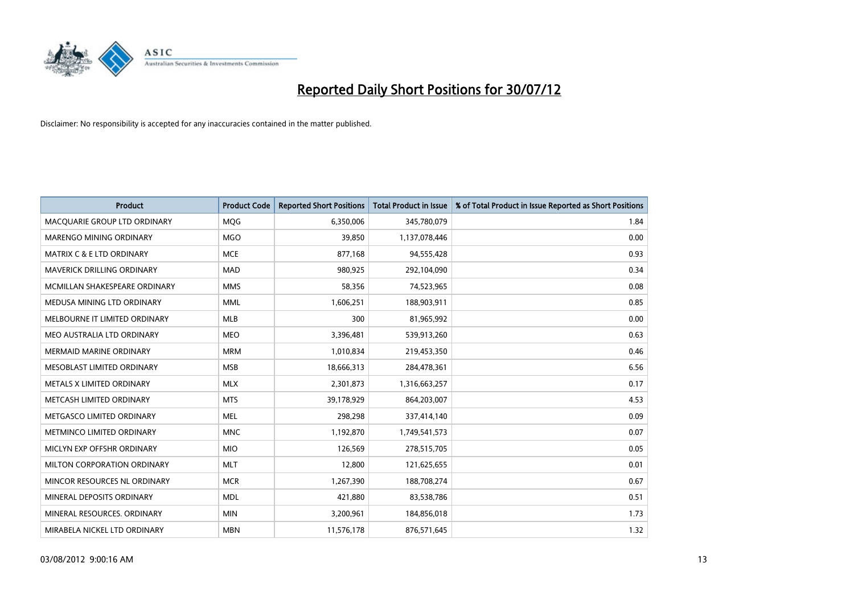

| <b>Product</b>                       | <b>Product Code</b> | <b>Reported Short Positions</b> | <b>Total Product in Issue</b> | % of Total Product in Issue Reported as Short Positions |
|--------------------------------------|---------------------|---------------------------------|-------------------------------|---------------------------------------------------------|
| MACQUARIE GROUP LTD ORDINARY         | <b>MOG</b>          | 6,350,006                       | 345,780,079                   | 1.84                                                    |
| <b>MARENGO MINING ORDINARY</b>       | <b>MGO</b>          | 39,850                          | 1,137,078,446                 | 0.00                                                    |
| <b>MATRIX C &amp; E LTD ORDINARY</b> | <b>MCE</b>          | 877,168                         | 94,555,428                    | 0.93                                                    |
| MAVERICK DRILLING ORDINARY           | <b>MAD</b>          | 980,925                         | 292,104,090                   | 0.34                                                    |
| MCMILLAN SHAKESPEARE ORDINARY        | <b>MMS</b>          | 58,356                          | 74,523,965                    | 0.08                                                    |
| MEDUSA MINING LTD ORDINARY           | <b>MML</b>          | 1,606,251                       | 188,903,911                   | 0.85                                                    |
| MELBOURNE IT LIMITED ORDINARY        | <b>MLB</b>          | 300                             | 81,965,992                    | 0.00                                                    |
| MEO AUSTRALIA LTD ORDINARY           | <b>MEO</b>          | 3,396,481                       | 539,913,260                   | 0.63                                                    |
| <b>MERMAID MARINE ORDINARY</b>       | <b>MRM</b>          | 1,010,834                       | 219,453,350                   | 0.46                                                    |
| MESOBLAST LIMITED ORDINARY           | <b>MSB</b>          | 18,666,313                      | 284,478,361                   | 6.56                                                    |
| METALS X LIMITED ORDINARY            | <b>MLX</b>          | 2,301,873                       | 1,316,663,257                 | 0.17                                                    |
| METCASH LIMITED ORDINARY             | <b>MTS</b>          | 39,178,929                      | 864,203,007                   | 4.53                                                    |
| METGASCO LIMITED ORDINARY            | <b>MEL</b>          | 298,298                         | 337,414,140                   | 0.09                                                    |
| METMINCO LIMITED ORDINARY            | <b>MNC</b>          | 1,192,870                       | 1,749,541,573                 | 0.07                                                    |
| MICLYN EXP OFFSHR ORDINARY           | <b>MIO</b>          | 126,569                         | 278,515,705                   | 0.05                                                    |
| MILTON CORPORATION ORDINARY          | <b>MLT</b>          | 12,800                          | 121,625,655                   | 0.01                                                    |
| MINCOR RESOURCES NL ORDINARY         | <b>MCR</b>          | 1,267,390                       | 188,708,274                   | 0.67                                                    |
| MINERAL DEPOSITS ORDINARY            | <b>MDL</b>          | 421,880                         | 83,538,786                    | 0.51                                                    |
| MINERAL RESOURCES, ORDINARY          | <b>MIN</b>          | 3,200,961                       | 184,856,018                   | 1.73                                                    |
| MIRABELA NICKEL LTD ORDINARY         | <b>MBN</b>          | 11,576,178                      | 876,571,645                   | 1.32                                                    |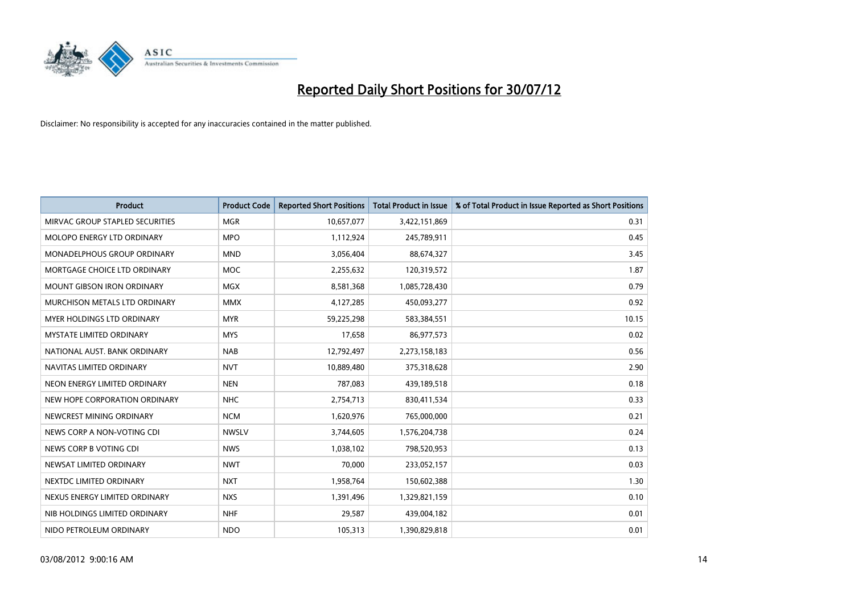

| <b>Product</b>                       | <b>Product Code</b> | <b>Reported Short Positions</b> | <b>Total Product in Issue</b> | % of Total Product in Issue Reported as Short Positions |
|--------------------------------------|---------------------|---------------------------------|-------------------------------|---------------------------------------------------------|
| MIRVAC GROUP STAPLED SECURITIES      | <b>MGR</b>          | 10,657,077                      | 3,422,151,869                 | 0.31                                                    |
| MOLOPO ENERGY LTD ORDINARY           | <b>MPO</b>          | 1,112,924                       | 245,789,911                   | 0.45                                                    |
| MONADELPHOUS GROUP ORDINARY          | <b>MND</b>          | 3,056,404                       | 88,674,327                    | 3.45                                                    |
| MORTGAGE CHOICE LTD ORDINARY         | <b>MOC</b>          | 2,255,632                       | 120,319,572                   | 1.87                                                    |
| <b>MOUNT GIBSON IRON ORDINARY</b>    | <b>MGX</b>          | 8,581,368                       | 1,085,728,430                 | 0.79                                                    |
| <b>MURCHISON METALS LTD ORDINARY</b> | <b>MMX</b>          | 4,127,285                       | 450,093,277                   | 0.92                                                    |
| MYER HOLDINGS LTD ORDINARY           | <b>MYR</b>          | 59,225,298                      | 583,384,551                   | 10.15                                                   |
| <b>MYSTATE LIMITED ORDINARY</b>      | <b>MYS</b>          | 17,658                          | 86,977,573                    | 0.02                                                    |
| NATIONAL AUST. BANK ORDINARY         | <b>NAB</b>          | 12,792,497                      | 2,273,158,183                 | 0.56                                                    |
| NAVITAS LIMITED ORDINARY             | <b>NVT</b>          | 10,889,480                      | 375,318,628                   | 2.90                                                    |
| NEON ENERGY LIMITED ORDINARY         | <b>NEN</b>          | 787,083                         | 439,189,518                   | 0.18                                                    |
| NEW HOPE CORPORATION ORDINARY        | <b>NHC</b>          | 2,754,713                       | 830,411,534                   | 0.33                                                    |
| NEWCREST MINING ORDINARY             | <b>NCM</b>          | 1,620,976                       | 765,000,000                   | 0.21                                                    |
| NEWS CORP A NON-VOTING CDI           | <b>NWSLV</b>        | 3,744,605                       | 1,576,204,738                 | 0.24                                                    |
| NEWS CORP B VOTING CDI               | <b>NWS</b>          | 1,038,102                       | 798,520,953                   | 0.13                                                    |
| NEWSAT LIMITED ORDINARY              | <b>NWT</b>          | 70,000                          | 233,052,157                   | 0.03                                                    |
| NEXTDC LIMITED ORDINARY              | <b>NXT</b>          | 1,958,764                       | 150,602,388                   | 1.30                                                    |
| NEXUS ENERGY LIMITED ORDINARY        | <b>NXS</b>          | 1,391,496                       | 1,329,821,159                 | 0.10                                                    |
| NIB HOLDINGS LIMITED ORDINARY        | <b>NHF</b>          | 29,587                          | 439,004,182                   | 0.01                                                    |
| NIDO PETROLEUM ORDINARY              | <b>NDO</b>          | 105,313                         | 1,390,829,818                 | 0.01                                                    |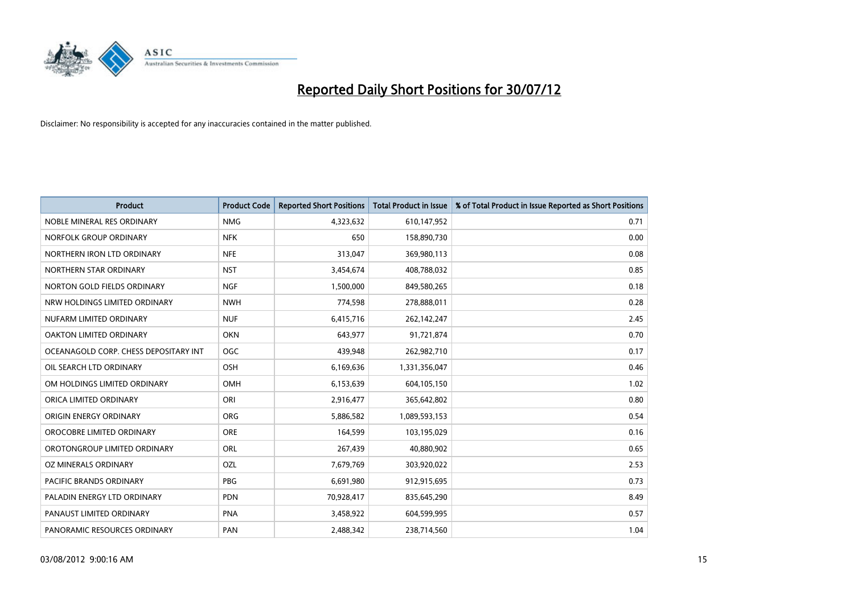

| <b>Product</b>                        | <b>Product Code</b> | <b>Reported Short Positions</b> | <b>Total Product in Issue</b> | % of Total Product in Issue Reported as Short Positions |
|---------------------------------------|---------------------|---------------------------------|-------------------------------|---------------------------------------------------------|
| NOBLE MINERAL RES ORDINARY            | <b>NMG</b>          | 4,323,632                       | 610,147,952                   | 0.71                                                    |
| NORFOLK GROUP ORDINARY                | <b>NFK</b>          | 650                             | 158,890,730                   | 0.00                                                    |
| NORTHERN IRON LTD ORDINARY            | <b>NFE</b>          | 313,047                         | 369,980,113                   | 0.08                                                    |
| NORTHERN STAR ORDINARY                | <b>NST</b>          | 3,454,674                       | 408,788,032                   | 0.85                                                    |
| NORTON GOLD FIELDS ORDINARY           | <b>NGF</b>          | 1,500,000                       | 849,580,265                   | 0.18                                                    |
| NRW HOLDINGS LIMITED ORDINARY         | <b>NWH</b>          | 774,598                         | 278,888,011                   | 0.28                                                    |
| NUFARM LIMITED ORDINARY               | <b>NUF</b>          | 6,415,716                       | 262,142,247                   | 2.45                                                    |
| OAKTON LIMITED ORDINARY               | <b>OKN</b>          | 643,977                         | 91,721,874                    | 0.70                                                    |
| OCEANAGOLD CORP. CHESS DEPOSITARY INT | <b>OGC</b>          | 439,948                         | 262,982,710                   | 0.17                                                    |
| OIL SEARCH LTD ORDINARY               | OSH                 | 6,169,636                       | 1,331,356,047                 | 0.46                                                    |
| OM HOLDINGS LIMITED ORDINARY          | <b>OMH</b>          | 6,153,639                       | 604,105,150                   | 1.02                                                    |
| ORICA LIMITED ORDINARY                | ORI                 | 2,916,477                       | 365,642,802                   | 0.80                                                    |
| ORIGIN ENERGY ORDINARY                | <b>ORG</b>          | 5,886,582                       | 1,089,593,153                 | 0.54                                                    |
| OROCOBRE LIMITED ORDINARY             | <b>ORE</b>          | 164,599                         | 103,195,029                   | 0.16                                                    |
| OROTONGROUP LIMITED ORDINARY          | ORL                 | 267,439                         | 40,880,902                    | 0.65                                                    |
| OZ MINERALS ORDINARY                  | OZL                 | 7,679,769                       | 303,920,022                   | 2.53                                                    |
| PACIFIC BRANDS ORDINARY               | <b>PBG</b>          | 6,691,980                       | 912,915,695                   | 0.73                                                    |
| PALADIN ENERGY LTD ORDINARY           | <b>PDN</b>          | 70,928,417                      | 835,645,290                   | 8.49                                                    |
| PANAUST LIMITED ORDINARY              | PNA                 | 3,458,922                       | 604,599,995                   | 0.57                                                    |
| PANORAMIC RESOURCES ORDINARY          | PAN                 | 2,488,342                       | 238,714,560                   | 1.04                                                    |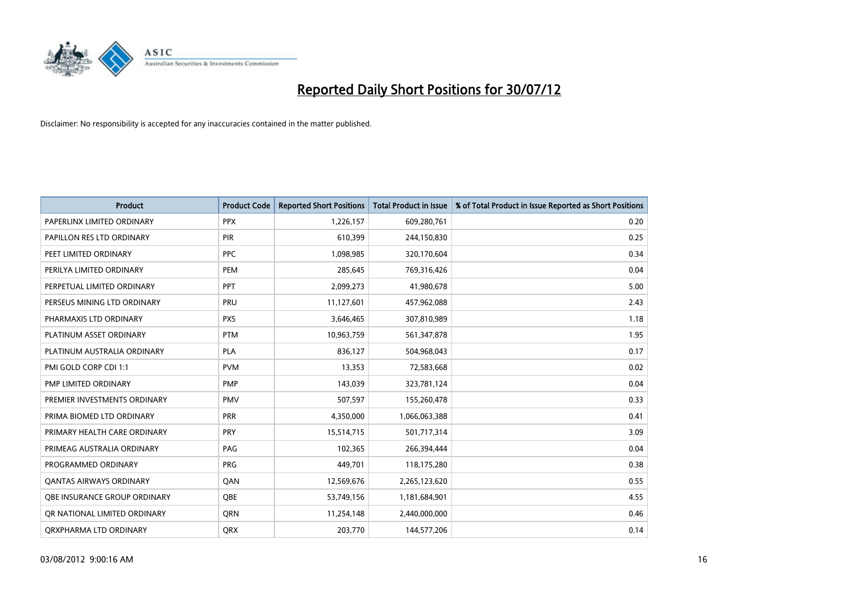

| <b>Product</b>                      | <b>Product Code</b> | <b>Reported Short Positions</b> | <b>Total Product in Issue</b> | % of Total Product in Issue Reported as Short Positions |
|-------------------------------------|---------------------|---------------------------------|-------------------------------|---------------------------------------------------------|
| PAPERLINX LIMITED ORDINARY          | <b>PPX</b>          | 1,226,157                       | 609,280,761                   | 0.20                                                    |
| PAPILLON RES LTD ORDINARY           | PIR                 | 610,399                         | 244,150,830                   | 0.25                                                    |
| PEET LIMITED ORDINARY               | <b>PPC</b>          | 1,098,985                       | 320,170,604                   | 0.34                                                    |
| PERILYA LIMITED ORDINARY            | PEM                 | 285,645                         | 769,316,426                   | 0.04                                                    |
| PERPETUAL LIMITED ORDINARY          | <b>PPT</b>          | 2,099,273                       | 41,980,678                    | 5.00                                                    |
| PERSEUS MINING LTD ORDINARY         | PRU                 | 11,127,601                      | 457,962,088                   | 2.43                                                    |
| PHARMAXIS LTD ORDINARY              | <b>PXS</b>          | 3,646,465                       | 307,810,989                   | 1.18                                                    |
| PLATINUM ASSET ORDINARY             | <b>PTM</b>          | 10,963,759                      | 561,347,878                   | 1.95                                                    |
| PLATINUM AUSTRALIA ORDINARY         | <b>PLA</b>          | 836,127                         | 504,968,043                   | 0.17                                                    |
| PMI GOLD CORP CDI 1:1               | <b>PVM</b>          | 13,353                          | 72,583,668                    | 0.02                                                    |
| PMP LIMITED ORDINARY                | PMP                 | 143,039                         | 323,781,124                   | 0.04                                                    |
| PREMIER INVESTMENTS ORDINARY        | <b>PMV</b>          | 507,597                         | 155,260,478                   | 0.33                                                    |
| PRIMA BIOMED LTD ORDINARY           | PRR                 | 4,350,000                       | 1,066,063,388                 | 0.41                                                    |
| PRIMARY HEALTH CARE ORDINARY        | <b>PRY</b>          | 15,514,715                      | 501,717,314                   | 3.09                                                    |
| PRIMEAG AUSTRALIA ORDINARY          | PAG                 | 102,365                         | 266,394,444                   | 0.04                                                    |
| PROGRAMMED ORDINARY                 | <b>PRG</b>          | 449,701                         | 118,175,280                   | 0.38                                                    |
| <b>QANTAS AIRWAYS ORDINARY</b>      | QAN                 | 12,569,676                      | 2,265,123,620                 | 0.55                                                    |
| <b>OBE INSURANCE GROUP ORDINARY</b> | <b>OBE</b>          | 53,749,156                      | 1,181,684,901                 | 4.55                                                    |
| OR NATIONAL LIMITED ORDINARY        | <b>ORN</b>          | 11,254,148                      | 2,440,000,000                 | 0.46                                                    |
| ORXPHARMA LTD ORDINARY              | <b>QRX</b>          | 203,770                         | 144,577,206                   | 0.14                                                    |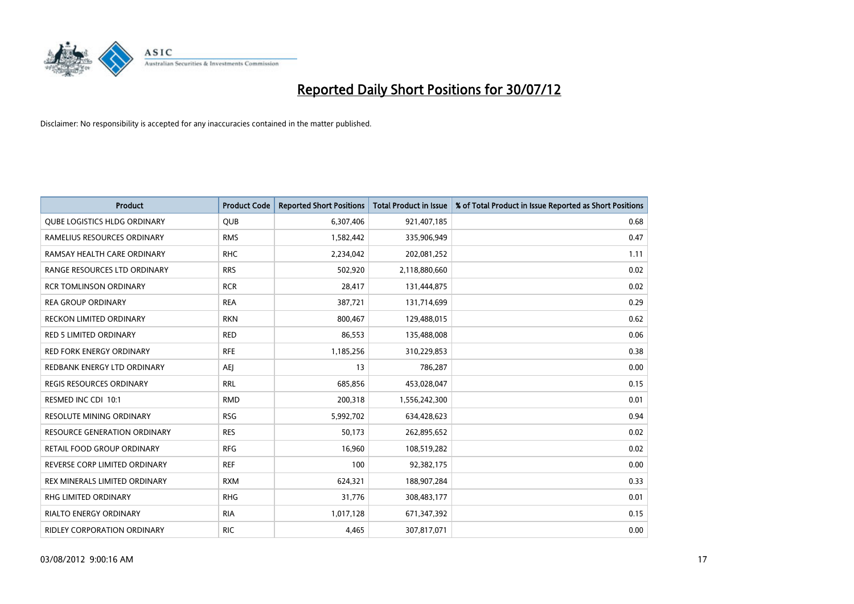

| <b>Product</b>                      | <b>Product Code</b> | <b>Reported Short Positions</b> | <b>Total Product in Issue</b> | % of Total Product in Issue Reported as Short Positions |
|-------------------------------------|---------------------|---------------------------------|-------------------------------|---------------------------------------------------------|
| <b>QUBE LOGISTICS HLDG ORDINARY</b> | QUB                 | 6,307,406                       | 921,407,185                   | 0.68                                                    |
| RAMELIUS RESOURCES ORDINARY         | <b>RMS</b>          | 1,582,442                       | 335,906,949                   | 0.47                                                    |
| RAMSAY HEALTH CARE ORDINARY         | <b>RHC</b>          | 2,234,042                       | 202,081,252                   | 1.11                                                    |
| RANGE RESOURCES LTD ORDINARY        | <b>RRS</b>          | 502,920                         | 2,118,880,660                 | 0.02                                                    |
| <b>RCR TOMLINSON ORDINARY</b>       | <b>RCR</b>          | 28,417                          | 131,444,875                   | 0.02                                                    |
| <b>REA GROUP ORDINARY</b>           | <b>REA</b>          | 387,721                         | 131,714,699                   | 0.29                                                    |
| RECKON LIMITED ORDINARY             | <b>RKN</b>          | 800.467                         | 129,488,015                   | 0.62                                                    |
| <b>RED 5 LIMITED ORDINARY</b>       | <b>RED</b>          | 86,553                          | 135,488,008                   | 0.06                                                    |
| RED FORK ENERGY ORDINARY            | <b>RFE</b>          | 1,185,256                       | 310,229,853                   | 0.38                                                    |
| REDBANK ENERGY LTD ORDINARY         | AEJ                 | 13                              | 786,287                       | 0.00                                                    |
| REGIS RESOURCES ORDINARY            | <b>RRL</b>          | 685,856                         | 453,028,047                   | 0.15                                                    |
| RESMED INC CDI 10:1                 | <b>RMD</b>          | 200,318                         | 1,556,242,300                 | 0.01                                                    |
| RESOLUTE MINING ORDINARY            | <b>RSG</b>          | 5,992,702                       | 634,428,623                   | 0.94                                                    |
| <b>RESOURCE GENERATION ORDINARY</b> | <b>RES</b>          | 50,173                          | 262,895,652                   | 0.02                                                    |
| RETAIL FOOD GROUP ORDINARY          | <b>RFG</b>          | 16,960                          | 108,519,282                   | 0.02                                                    |
| REVERSE CORP LIMITED ORDINARY       | <b>REF</b>          | 100                             | 92,382,175                    | 0.00                                                    |
| REX MINERALS LIMITED ORDINARY       | <b>RXM</b>          | 624,321                         | 188,907,284                   | 0.33                                                    |
| RHG LIMITED ORDINARY                | <b>RHG</b>          | 31,776                          | 308,483,177                   | 0.01                                                    |
| <b>RIALTO ENERGY ORDINARY</b>       | <b>RIA</b>          | 1,017,128                       | 671,347,392                   | 0.15                                                    |
| RIDLEY CORPORATION ORDINARY         | <b>RIC</b>          | 4.465                           | 307,817,071                   | 0.00                                                    |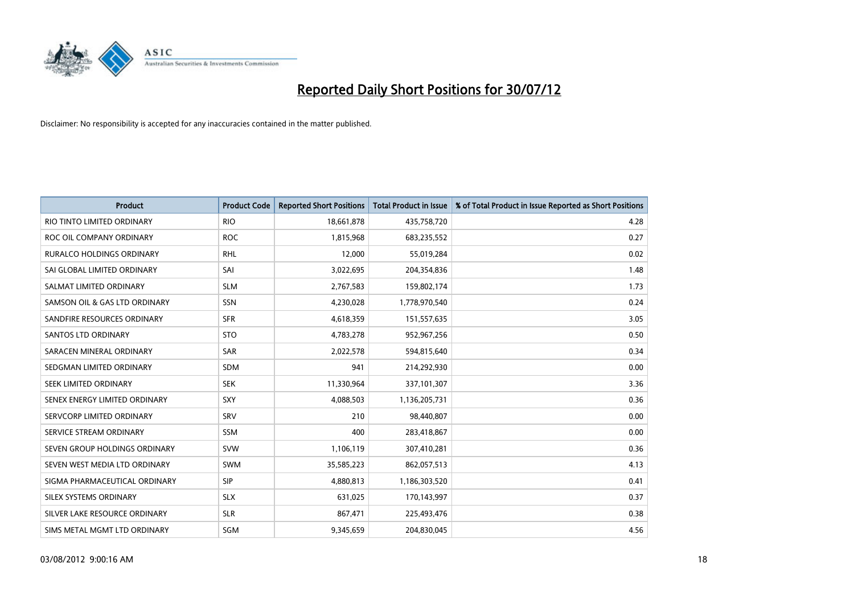

| <b>Product</b>                   | <b>Product Code</b> | <b>Reported Short Positions</b> | <b>Total Product in Issue</b> | % of Total Product in Issue Reported as Short Positions |
|----------------------------------|---------------------|---------------------------------|-------------------------------|---------------------------------------------------------|
| RIO TINTO LIMITED ORDINARY       | <b>RIO</b>          | 18,661,878                      | 435,758,720                   | 4.28                                                    |
| ROC OIL COMPANY ORDINARY         | <b>ROC</b>          | 1,815,968                       | 683,235,552                   | 0.27                                                    |
| <b>RURALCO HOLDINGS ORDINARY</b> | <b>RHL</b>          | 12,000                          | 55,019,284                    | 0.02                                                    |
| SAI GLOBAL LIMITED ORDINARY      | SAI                 | 3,022,695                       | 204,354,836                   | 1.48                                                    |
| SALMAT LIMITED ORDINARY          | <b>SLM</b>          | 2,767,583                       | 159,802,174                   | 1.73                                                    |
| SAMSON OIL & GAS LTD ORDINARY    | SSN                 | 4,230,028                       | 1,778,970,540                 | 0.24                                                    |
| SANDFIRE RESOURCES ORDINARY      | <b>SFR</b>          | 4,618,359                       | 151,557,635                   | 3.05                                                    |
| <b>SANTOS LTD ORDINARY</b>       | <b>STO</b>          | 4,783,278                       | 952,967,256                   | 0.50                                                    |
| SARACEN MINERAL ORDINARY         | SAR                 | 2,022,578                       | 594,815,640                   | 0.34                                                    |
| SEDGMAN LIMITED ORDINARY         | <b>SDM</b>          | 941                             | 214,292,930                   | 0.00                                                    |
| SEEK LIMITED ORDINARY            | <b>SEK</b>          | 11,330,964                      | 337,101,307                   | 3.36                                                    |
| SENEX ENERGY LIMITED ORDINARY    | <b>SXY</b>          | 4,088,503                       | 1,136,205,731                 | 0.36                                                    |
| SERVCORP LIMITED ORDINARY        | SRV                 | 210                             | 98,440,807                    | 0.00                                                    |
| SERVICE STREAM ORDINARY          | <b>SSM</b>          | 400                             | 283,418,867                   | 0.00                                                    |
| SEVEN GROUP HOLDINGS ORDINARY    | <b>SVW</b>          | 1,106,119                       | 307,410,281                   | 0.36                                                    |
| SEVEN WEST MEDIA LTD ORDINARY    | <b>SWM</b>          | 35,585,223                      | 862,057,513                   | 4.13                                                    |
| SIGMA PHARMACEUTICAL ORDINARY    | <b>SIP</b>          | 4,880,813                       | 1,186,303,520                 | 0.41                                                    |
| SILEX SYSTEMS ORDINARY           | <b>SLX</b>          | 631,025                         | 170,143,997                   | 0.37                                                    |
| SILVER LAKE RESOURCE ORDINARY    | <b>SLR</b>          | 867,471                         | 225,493,476                   | 0.38                                                    |
| SIMS METAL MGMT LTD ORDINARY     | <b>SGM</b>          | 9,345,659                       | 204,830,045                   | 4.56                                                    |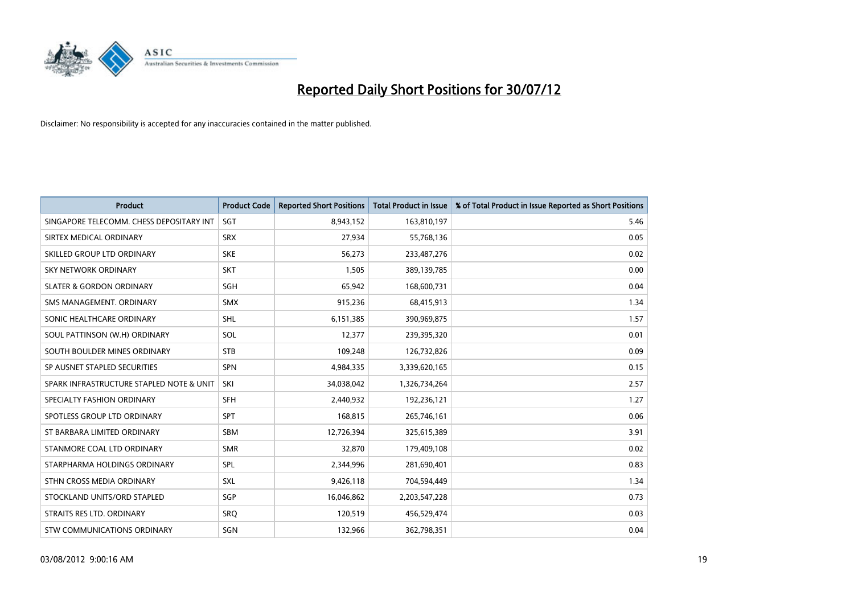

| <b>Product</b>                           | <b>Product Code</b> | <b>Reported Short Positions</b> | <b>Total Product in Issue</b> | % of Total Product in Issue Reported as Short Positions |
|------------------------------------------|---------------------|---------------------------------|-------------------------------|---------------------------------------------------------|
| SINGAPORE TELECOMM. CHESS DEPOSITARY INT | <b>SGT</b>          | 8,943,152                       | 163,810,197                   | 5.46                                                    |
| SIRTEX MEDICAL ORDINARY                  | <b>SRX</b>          | 27,934                          | 55,768,136                    | 0.05                                                    |
| SKILLED GROUP LTD ORDINARY               | <b>SKE</b>          | 56,273                          | 233,487,276                   | 0.02                                                    |
| SKY NETWORK ORDINARY                     | <b>SKT</b>          | 1,505                           | 389,139,785                   | 0.00                                                    |
| <b>SLATER &amp; GORDON ORDINARY</b>      | SGH                 | 65,942                          | 168,600,731                   | 0.04                                                    |
| SMS MANAGEMENT, ORDINARY                 | <b>SMX</b>          | 915,236                         | 68,415,913                    | 1.34                                                    |
| SONIC HEALTHCARE ORDINARY                | <b>SHL</b>          | 6,151,385                       | 390,969,875                   | 1.57                                                    |
| SOUL PATTINSON (W.H) ORDINARY            | SOL                 | 12,377                          | 239,395,320                   | 0.01                                                    |
| SOUTH BOULDER MINES ORDINARY             | <b>STB</b>          | 109,248                         | 126,732,826                   | 0.09                                                    |
| SP AUSNET STAPLED SECURITIES             | <b>SPN</b>          | 4,984,335                       | 3,339,620,165                 | 0.15                                                    |
| SPARK INFRASTRUCTURE STAPLED NOTE & UNIT | SKI                 | 34,038,042                      | 1,326,734,264                 | 2.57                                                    |
| SPECIALTY FASHION ORDINARY               | <b>SFH</b>          | 2,440,932                       | 192,236,121                   | 1.27                                                    |
| SPOTLESS GROUP LTD ORDINARY              | <b>SPT</b>          | 168,815                         | 265,746,161                   | 0.06                                                    |
| ST BARBARA LIMITED ORDINARY              | <b>SBM</b>          | 12,726,394                      | 325,615,389                   | 3.91                                                    |
| STANMORE COAL LTD ORDINARY               | <b>SMR</b>          | 32,870                          | 179,409,108                   | 0.02                                                    |
| STARPHARMA HOLDINGS ORDINARY             | SPL                 | 2,344,996                       | 281,690,401                   | 0.83                                                    |
| STHN CROSS MEDIA ORDINARY                | <b>SXL</b>          | 9,426,118                       | 704,594,449                   | 1.34                                                    |
| STOCKLAND UNITS/ORD STAPLED              | SGP                 | 16,046,862                      | 2,203,547,228                 | 0.73                                                    |
| STRAITS RES LTD. ORDINARY                | SRO                 | 120,519                         | 456,529,474                   | 0.03                                                    |
| STW COMMUNICATIONS ORDINARY              | SGN                 | 132,966                         | 362,798,351                   | 0.04                                                    |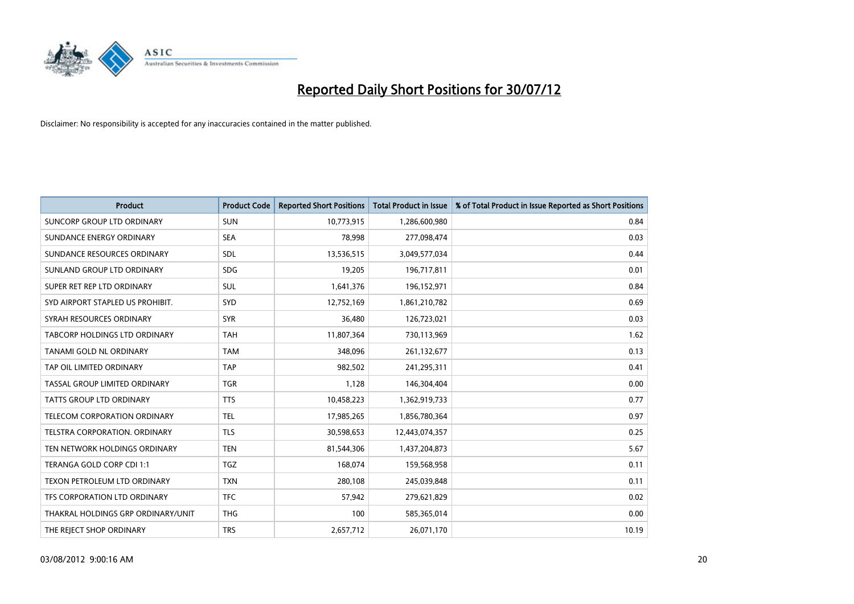

| <b>Product</b>                       | <b>Product Code</b> | <b>Reported Short Positions</b> | <b>Total Product in Issue</b> | % of Total Product in Issue Reported as Short Positions |
|--------------------------------------|---------------------|---------------------------------|-------------------------------|---------------------------------------------------------|
| SUNCORP GROUP LTD ORDINARY           | <b>SUN</b>          | 10,773,915                      | 1,286,600,980                 | 0.84                                                    |
| SUNDANCE ENERGY ORDINARY             | <b>SEA</b>          | 78,998                          | 277,098,474                   | 0.03                                                    |
| SUNDANCE RESOURCES ORDINARY          | <b>SDL</b>          | 13,536,515                      | 3,049,577,034                 | 0.44                                                    |
| SUNLAND GROUP LTD ORDINARY           | <b>SDG</b>          | 19,205                          | 196,717,811                   | 0.01                                                    |
| SUPER RET REP LTD ORDINARY           | <b>SUL</b>          | 1,641,376                       | 196,152,971                   | 0.84                                                    |
| SYD AIRPORT STAPLED US PROHIBIT.     | <b>SYD</b>          | 12,752,169                      | 1,861,210,782                 | 0.69                                                    |
| SYRAH RESOURCES ORDINARY             | <b>SYR</b>          | 36,480                          | 126,723,021                   | 0.03                                                    |
| TABCORP HOLDINGS LTD ORDINARY        | <b>TAH</b>          | 11,807,364                      | 730,113,969                   | 1.62                                                    |
| TANAMI GOLD NL ORDINARY              | <b>TAM</b>          | 348,096                         | 261,132,677                   | 0.13                                                    |
| TAP OIL LIMITED ORDINARY             | <b>TAP</b>          | 982,502                         | 241,295,311                   | 0.41                                                    |
| TASSAL GROUP LIMITED ORDINARY        | <b>TGR</b>          | 1,128                           | 146,304,404                   | 0.00                                                    |
| TATTS GROUP LTD ORDINARY             | <b>TTS</b>          | 10,458,223                      | 1,362,919,733                 | 0.77                                                    |
| <b>TELECOM CORPORATION ORDINARY</b>  | <b>TEL</b>          | 17,985,265                      | 1,856,780,364                 | 0.97                                                    |
| <b>TELSTRA CORPORATION, ORDINARY</b> | <b>TLS</b>          | 30,598,653                      | 12,443,074,357                | 0.25                                                    |
| TEN NETWORK HOLDINGS ORDINARY        | <b>TEN</b>          | 81,544,306                      | 1,437,204,873                 | 5.67                                                    |
| TERANGA GOLD CORP CDI 1:1            | <b>TGZ</b>          | 168,074                         | 159,568,958                   | 0.11                                                    |
| TEXON PETROLEUM LTD ORDINARY         | <b>TXN</b>          | 280,108                         | 245,039,848                   | 0.11                                                    |
| TFS CORPORATION LTD ORDINARY         | <b>TFC</b>          | 57,942                          | 279,621,829                   | 0.02                                                    |
| THAKRAL HOLDINGS GRP ORDINARY/UNIT   | <b>THG</b>          | 100                             | 585,365,014                   | 0.00                                                    |
| THE REJECT SHOP ORDINARY             | <b>TRS</b>          | 2,657,712                       | 26,071,170                    | 10.19                                                   |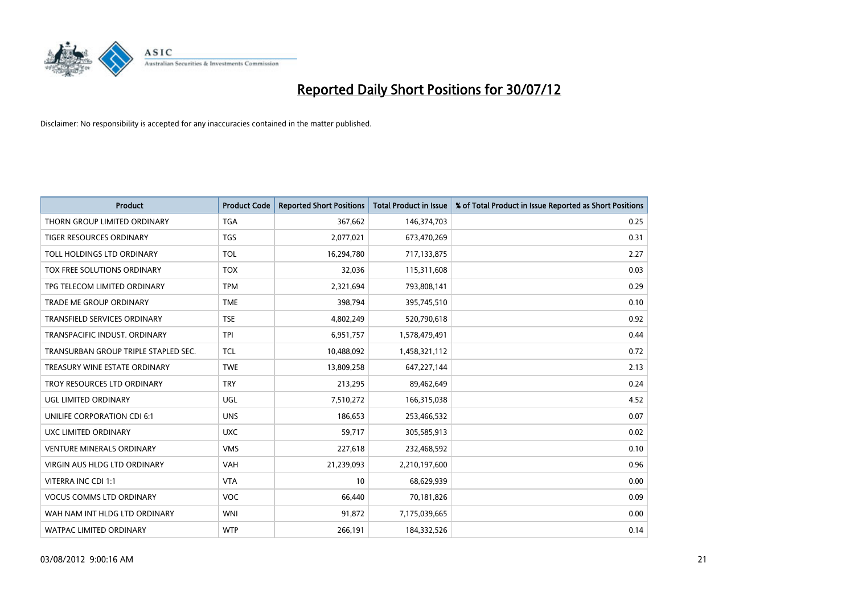

| <b>Product</b>                       | <b>Product Code</b> | <b>Reported Short Positions</b> | <b>Total Product in Issue</b> | % of Total Product in Issue Reported as Short Positions |
|--------------------------------------|---------------------|---------------------------------|-------------------------------|---------------------------------------------------------|
| THORN GROUP LIMITED ORDINARY         | <b>TGA</b>          | 367,662                         | 146,374,703                   | 0.25                                                    |
| TIGER RESOURCES ORDINARY             | <b>TGS</b>          | 2,077,021                       | 673,470,269                   | 0.31                                                    |
| TOLL HOLDINGS LTD ORDINARY           | <b>TOL</b>          | 16,294,780                      | 717,133,875                   | 2.27                                                    |
| TOX FREE SOLUTIONS ORDINARY          | <b>TOX</b>          | 32,036                          | 115,311,608                   | 0.03                                                    |
| TPG TELECOM LIMITED ORDINARY         | <b>TPM</b>          | 2,321,694                       | 793,808,141                   | 0.29                                                    |
| <b>TRADE ME GROUP ORDINARY</b>       | <b>TME</b>          | 398,794                         | 395,745,510                   | 0.10                                                    |
| <b>TRANSFIELD SERVICES ORDINARY</b>  | <b>TSE</b>          | 4,802,249                       | 520,790,618                   | 0.92                                                    |
| TRANSPACIFIC INDUST, ORDINARY        | <b>TPI</b>          | 6,951,757                       | 1,578,479,491                 | 0.44                                                    |
| TRANSURBAN GROUP TRIPLE STAPLED SEC. | <b>TCL</b>          | 10,488,092                      | 1,458,321,112                 | 0.72                                                    |
| TREASURY WINE ESTATE ORDINARY        | <b>TWE</b>          | 13,809,258                      | 647,227,144                   | 2.13                                                    |
| TROY RESOURCES LTD ORDINARY          | <b>TRY</b>          | 213,295                         | 89,462,649                    | 0.24                                                    |
| UGL LIMITED ORDINARY                 | UGL                 | 7,510,272                       | 166,315,038                   | 4.52                                                    |
| UNILIFE CORPORATION CDI 6:1          | <b>UNS</b>          | 186,653                         | 253,466,532                   | 0.07                                                    |
| UXC LIMITED ORDINARY                 | <b>UXC</b>          | 59,717                          | 305,585,913                   | 0.02                                                    |
| <b>VENTURE MINERALS ORDINARY</b>     | <b>VMS</b>          | 227,618                         | 232,468,592                   | 0.10                                                    |
| VIRGIN AUS HLDG LTD ORDINARY         | VAH                 | 21,239,093                      | 2,210,197,600                 | 0.96                                                    |
| VITERRA INC CDI 1:1                  | <b>VTA</b>          | 10                              | 68,629,939                    | 0.00                                                    |
| <b>VOCUS COMMS LTD ORDINARY</b>      | <b>VOC</b>          | 66,440                          | 70,181,826                    | 0.09                                                    |
| WAH NAM INT HLDG LTD ORDINARY        | <b>WNI</b>          | 91,872                          | 7,175,039,665                 | 0.00                                                    |
| WATPAC LIMITED ORDINARY              | <b>WTP</b>          | 266,191                         | 184,332,526                   | 0.14                                                    |